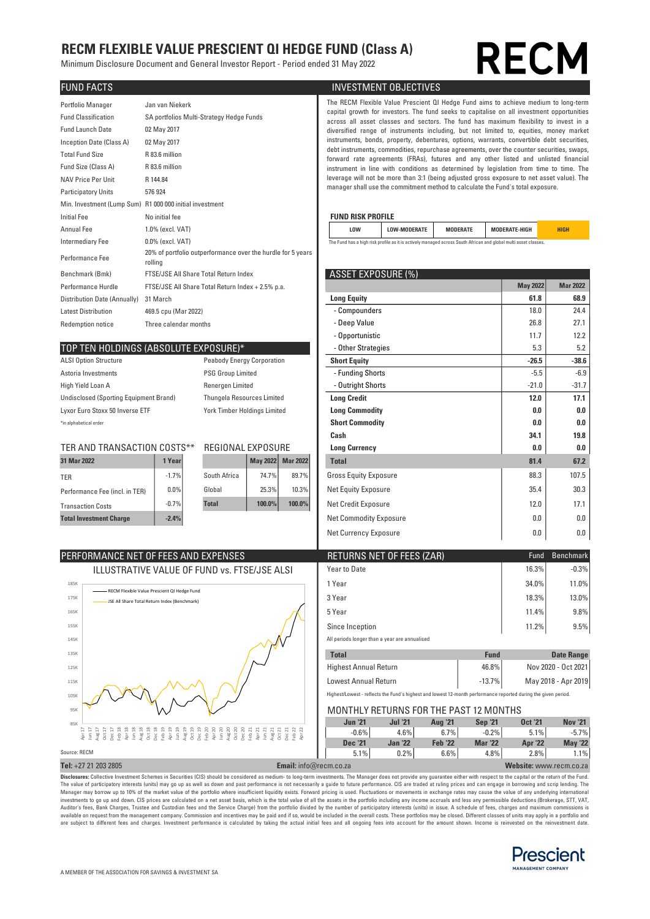## RECM FLEXIBLE VALUE PRESCIENT QI HEDGE FUND (Class A)

Minimum Disclosure Document and General Investor Report - Period ended 31 May 2022

# **RECI**

| Portfolio Manager<br><b>Fund Classification</b><br><b>Fund Launch Date</b><br>Inception Date (Class A)<br><b>Total Fund Size</b><br>Fund Size (Class A)<br>NAV Price Per Unit<br><b>Participatory Units</b> | Jan van Niekerk<br>SA portfolios Multi-Strategy Hedge Funds<br>02 May 2017<br>02 May 2017<br>R 83.6 million<br>R 83.6 million<br>R 144.84<br>576 924<br>Min. Investment (Lump Sum) R1 000 000 initial investment |                           |                     |                 | The RECM Flexible Value Prescient QI Hedge Fund aims to achieve mediu<br>capital growth for investors. The fund seeks to capitalise on all investme<br>across all asset classes and sectors. The fund has maximum flexibility<br>diversified range of instruments including, but not limited to, equities,<br>instruments, bonds, property, debentures, options, warrants, convertible<br>debt instruments, commodities, repurchase agreements, over the counter se<br>forward rate agreements (FRAs), futures and any other listed and un<br>instrument in line with conditions as determined by legislation from tim<br>leverage will not be more than 3:1 (being adjusted gross exposure to net as<br>manager shall use the commitment method to calculate the Fund's total expo |
|-------------------------------------------------------------------------------------------------------------------------------------------------------------------------------------------------------------|------------------------------------------------------------------------------------------------------------------------------------------------------------------------------------------------------------------|---------------------------|---------------------|-----------------|-------------------------------------------------------------------------------------------------------------------------------------------------------------------------------------------------------------------------------------------------------------------------------------------------------------------------------------------------------------------------------------------------------------------------------------------------------------------------------------------------------------------------------------------------------------------------------------------------------------------------------------------------------------------------------------------------------------------------------------------------------------------------------------|
| <b>Initial Fee</b>                                                                                                                                                                                          | No initial fee                                                                                                                                                                                                   | <b>FUND RISK PROFILE</b>  |                     |                 |                                                                                                                                                                                                                                                                                                                                                                                                                                                                                                                                                                                                                                                                                                                                                                                     |
| <b>Annual Fee</b>                                                                                                                                                                                           | 1.0% (excl. VAT)                                                                                                                                                                                                 | <b>LOW</b>                | <b>LOW-MODERATE</b> | <b>MODERATE</b> | <b>MODERATE-HIGH</b>                                                                                                                                                                                                                                                                                                                                                                                                                                                                                                                                                                                                                                                                                                                                                                |
| Intermediary Fee                                                                                                                                                                                            | $0.0\%$ (excl. VAT)                                                                                                                                                                                              |                           |                     |                 | The Fund has a high risk profile as it is actively managed across South African and global multi asset classes                                                                                                                                                                                                                                                                                                                                                                                                                                                                                                                                                                                                                                                                      |
| Performance Fee                                                                                                                                                                                             | 20% of portfolio outperformance over the hurdle for 5 years<br>rolling                                                                                                                                           |                           |                     |                 |                                                                                                                                                                                                                                                                                                                                                                                                                                                                                                                                                                                                                                                                                                                                                                                     |
| Benchmark (Bmk)                                                                                                                                                                                             | FTSE/JSE All Share Total Return Index                                                                                                                                                                            | <b>ASSET EXPOSURE (%)</b> |                     |                 |                                                                                                                                                                                                                                                                                                                                                                                                                                                                                                                                                                                                                                                                                                                                                                                     |
| Performance Hurdle                                                                                                                                                                                          | FTSE/JSE All Share Total Return Index + 2.5% p.a.                                                                                                                                                                |                           |                     |                 | <b>May 2022</b>                                                                                                                                                                                                                                                                                                                                                                                                                                                                                                                                                                                                                                                                                                                                                                     |
| Distribution Date (Annually)                                                                                                                                                                                | 31 March                                                                                                                                                                                                         | <b>Long Equity</b>        |                     |                 | 61.8                                                                                                                                                                                                                                                                                                                                                                                                                                                                                                                                                                                                                                                                                                                                                                                |
| <b>Latest Distribution</b>                                                                                                                                                                                  | 469.5 cpu (Mar 2022)                                                                                                                                                                                             | - Compounders             |                     |                 | 18.0                                                                                                                                                                                                                                                                                                                                                                                                                                                                                                                                                                                                                                                                                                                                                                                |
| <b>Redemption notice</b>                                                                                                                                                                                    | Three calendar months                                                                                                                                                                                            | - Deep Value              |                     |                 | 26.8                                                                                                                                                                                                                                                                                                                                                                                                                                                                                                                                                                                                                                                                                                                                                                                |
|                                                                                                                                                                                                             |                                                                                                                                                                                                                  |                           |                     |                 |                                                                                                                                                                                                                                                                                                                                                                                                                                                                                                                                                                                                                                                                                                                                                                                     |

#### TOP TEN HOLDINGS (ABSOLUTE EXPOSURE)\*

PERFORMANCE NET OF FEES AND EXPENSES

RECM Flexible Value Prescient QI Hedge Fund JSE All Share Total Return Index (Benchmark)

| <b>ALSI Option Structure</b>                  |
|-----------------------------------------------|
| Astoria Investments                           |
| High Yield Loan A                             |
| <b>Undisclosed (Sporting Equipment Brand)</b> |
| Lyxor Euro Stoxx 50 Inverse ETF               |
| tin alahahatiaal ardar                        |

| 1 Mar 2022                    | 1 Yearl |              | <b>May 2022</b> | <b>Mar 2022</b> |
|-------------------------------|---------|--------------|-----------------|-----------------|
| ER                            | $-1.7%$ | South Africa | 74.7%           | 89.7%           |
| erformance Fee (incl. in TER) | $0.0\%$ | Global       | 25.3%           | 10.3%           |
| ransaction Costs              | $-0.7%$ | <b>Total</b> | 100.0%          | 100.0%          |
| otal Investment Charge        | $-2.4%$ |              |                 |                 |

**ILLUSTRATIVE VALUE OF FUND vs. FTSE/JSE ALSI** 

#### **FUND FACTS INVESTMENT OBJECTIVES**

The RECM Flexible Value Prescient QI Hedge Fund aims to achieve medium to long-term capital growth for investors. The fund seeks to capitalise on all investment opportunities across all asset classes and sectors. The fund has maximum flexibility to invest in a diversified range of instruments including, but not limited to, equities, money market instruments, bonds, property, debentures, options, warrants, convertible debt securities, debt instruments, commodities, repurchase agreements, over the counter securities, swaps, forward rate agreements (FRAs), futures and any other listed and unlisted financial instrument in line with conditions as determined by legislation from time to time. The leverage will not be more than 3:1 (being adjusted gross exposure to net asset value). The manager shall use the commitment method to calculate the Fund's total exposure.

#### **FUND RISK PROFILE**

| LOW                                                                                                             | <b>LOW-MODERATE</b> | <b>MODERATE</b> | <b>MODERATE-HIGH</b> | HIGH |  |  |  |  |  |
|-----------------------------------------------------------------------------------------------------------------|---------------------|-----------------|----------------------|------|--|--|--|--|--|
| The Fund has a high risk profile as it is actively managed across South African and global multi asset classes. |                     |                 |                      |      |  |  |  |  |  |

#### $BSSFT FXPOSIIRF(S)$

| Performance Hurdle<br>FTSE/JSE All Share Total Return Index + 2.5% p.a.     |                       |                   |                 |                 |                               | <b>May 2022</b> | <b>Mar 2022</b> |
|-----------------------------------------------------------------------------|-----------------------|-------------------|-----------------|-----------------|-------------------------------|-----------------|-----------------|
| Distribution Date (Annually)                                                | 31 March              |                   |                 |                 | <b>Long Equity</b>            | 61.8            | 68.9            |
| <b>Latest Distribution</b>                                                  | 469.5 cpu (Mar 2022)  |                   |                 |                 | - Compounders                 | 18.0            | 24.4            |
| <b>Redemption notice</b>                                                    | Three calendar months |                   |                 |                 | - Deep Value                  | 26.8            | 27.1            |
|                                                                             |                       |                   |                 |                 | - Opportunistic               | 11.7            | 12.2            |
| TOP TEN HOLDINGS (ABSOLUTE EXPOSURE)*                                       |                       |                   |                 |                 | - Other Strategies            | 5.3             | 5.2             |
| <b>ALSI Option Structure</b><br><b>Peabody Energy Corporation</b>           |                       |                   |                 |                 | <b>Short Equity</b>           | $-26.5$         | $-38.6$         |
| Astoria Investments<br><b>PSG Group Limited</b>                             |                       |                   |                 |                 | - Funding Shorts              | $-5.5$          | $-6.9$          |
| High Yield Loan A<br>Renergen Limited                                       |                       |                   |                 |                 | - Outright Shorts             | $-21.0$         | $-31.7$         |
| Undisclosed (Sporting Equipment Brand)<br><b>Thungela Resources Limited</b> |                       |                   |                 |                 | <b>Long Credit</b>            | 12.0            | 17.1            |
| York Timber Holdings Limited<br>Lyxor Euro Stoxx 50 Inverse ETF             |                       |                   |                 |                 | <b>Long Commodity</b>         | 0.0             | 0.0             |
| *in alphabetical order                                                      |                       |                   |                 |                 | <b>Short Commodity</b>        | 0.0             | 0.0             |
|                                                                             |                       |                   |                 |                 | Cash                          | 34.1            | 19.8            |
| TER AND TRANSACTION COSTS**                                                 |                       | REGIONAL EXPOSURE |                 |                 | <b>Long Currency</b>          | 0.0             | 0.0             |
| 31 Mar 2022                                                                 | 1 Year                |                   | <b>May 2022</b> | <b>Mar 2022</b> | <b>Total</b>                  | 81.4            | 67.2            |
| TER                                                                         | $-1.7%$               | South Africa      | 74.7%           | 89.7%           | <b>Gross Equity Exposure</b>  | 88.3            | 107.5           |
| Performance Fee (incl. in TER)                                              | 0.0%                  | Global            | 25.3%           | 10.3%           | Net Equity Exposure           | 35.4            | 30.3            |
| <b>Transaction Costs</b>                                                    | $-0.7%$               | <b>Total</b>      | 100.0%          | 100.0%          | Net Credit Exposure           | 12.0            | 17.1            |
| <b>Total Investment Charge</b>                                              | $-2.4%$               |                   |                 |                 | <b>Net Commodity Exposure</b> | 0.0             | 0.0             |
|                                                                             |                       |                   |                 |                 | Net Currency Exposure         | 0.0             | 0.0             |

| RETURNS NET OF FEES (ZAR)                     | Fund  | <b>Benchmark</b> |
|-----------------------------------------------|-------|------------------|
| Year to Date                                  | 16.3% | $-0.3%$          |
| 1 Year                                        | 34.0% | 11.0%            |
| 3 Year                                        | 18.3% | 13.0%            |
| 5 Year                                        | 11.4% | $9.8\%$          |
| Since Inception                               | 11.2% | 9.5%             |
| All periods longer than a year are annualised |       |                  |

| <b>Total</b>                 | <b>Fund</b> | Date Range          |
|------------------------------|-------------|---------------------|
| <b>Highest Annual Return</b> | 46.8%       | Nov 2020 - Oct 2021 |
| <b>Lowest Annual Return</b>  | $-13.7\%$   | May 2018 - Apr 2019 |

Highest/Lowest - reflects the Fund's highest and lowest 12-month performance reported during the given period.

#### MONTHLY RETURNS FOR THE PAST 12 MONTHS

|              | . .                          |  |  |  |  |                               |                |                |                |                |                         |                |
|--------------|------------------------------|--|--|--|--|-------------------------------|----------------|----------------|----------------|----------------|-------------------------|----------------|
| 85K          |                              |  |  |  |  |                               | <b>Jun '21</b> | <b>Jul '21</b> | <b>Aug '21</b> | <b>Sep '21</b> | <b>Oct '21</b>          | <b>Nov '21</b> |
|              | 1111111212122222222222222222 |  |  |  |  |                               | $-0.6%$        | 4.6%           | 6.7%           | $-0.2%$        | 5.1%                    | $-5.7\%$       |
|              |                              |  |  |  |  |                               | <b>Dec</b> '21 | <b>Jan '22</b> | <b>Feb '22</b> | <b>Mar '22</b> | <b>Apr '22</b>          | <b>May '22</b> |
| Source: RECM |                              |  |  |  |  |                               | 5.1%           | 0.2%           | 6.6%           | 4.8%           | 2.8%                    | $.1\%$         |
|              | Tel: +27 21 203 2805         |  |  |  |  | <b>Email:</b> info@recm.co.za |                |                |                |                | Website: www.recm.co.za |                |

<mark>Disclosures:</mark> Collective Investment Schemes in Securities (CIS) should be considered as medium- to long-term investments. The Manager does not provide any guarantee either with respect to the capital or the return of the Manager may borrow up to 10% of the market value of the portfolio where insufficient liquidity exists. Forward pricing is used. Fluctuations or movements in exchange rates may cause the value of any underlying internationa Auditor's fees, Bank Charges, Trustee and Custodian fees and the Service Charge) from the portfolio divided by the number of participatory interests (units) in issue. A schedule of fees, charges and maximum commissions is<br> are subject to different fees and charges. Investment performance is calculated by taking the actual initial fees and all ongoing fees into account for the amount shown. Income is reinvested on the reinvestment date.



85K  $95$ 105K 115K 125K 135K 145K 155K 165K 175K 185K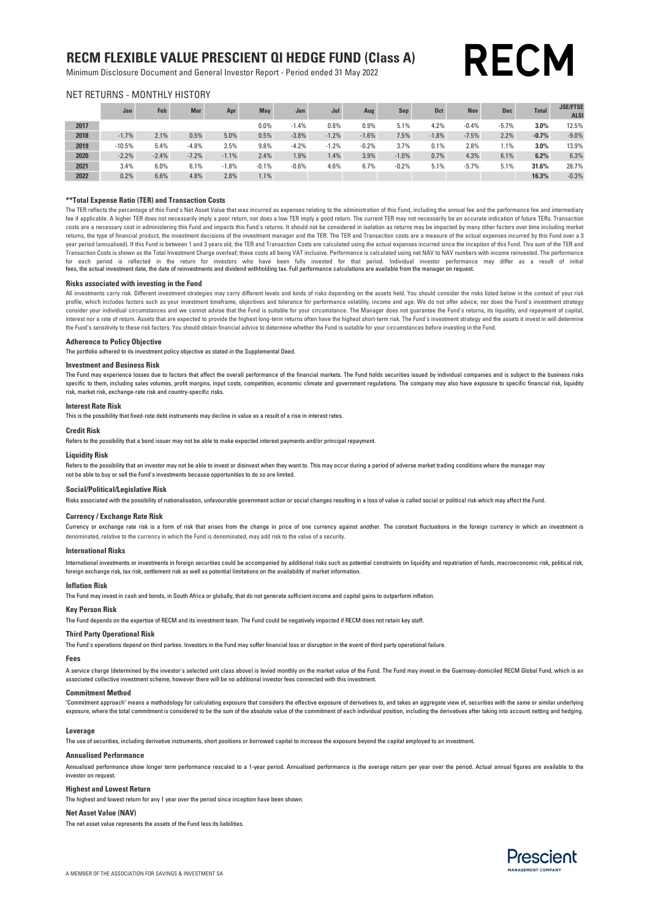### RECM FLEXIBLE VALUE PRESCIENT QI HEDGE FUND (Class A)

Minimum Disclosure Document and General Investor Report - Period ended 31 May 2022

### NET RETURNS - MONTHLY HISTORY

|      | Jan      | Feb     | <b>Mar</b> | Apr     | <b>May</b> | Jun     | Jul     | Aug     | Sen     | <b>Oct</b> | <b>Nov</b> | <b>Dec</b> | <b>Total</b> | <b>JSE/FTSE</b><br><b>ALSI</b> |
|------|----------|---------|------------|---------|------------|---------|---------|---------|---------|------------|------------|------------|--------------|--------------------------------|
| 2017 |          |         |            |         | 0.0%       | $-1.4%$ | 0.8%    | 0.9%    | 5.1%    | 4.2%       | $-0.4%$    | $-5.7%$    | 3.0%         | 12.5%                          |
| 2018 | $-1.7%$  | 2.1%    | 0.5%       | 5.0%    | 0.5%       | $-3.8%$ | $-1.2%$ | $-1.6%$ | 7.5%    | $-1.8%$    | $-7.5%$    | 2.2%       | $-0.7%$      | $-9.0%$                        |
| 2019 | $-10.5%$ | 5.4%    | $-4.8%$    | 2.5%    | 9.8%       | $-4.2%$ | $-1.2%$ | $-0.2%$ | 3.7%    | 0.1%       | 2.8%       | 1.1%       | 3.0%         | 13.9%                          |
| 2020 | $-2.2%$  | $-2.4%$ | $-7.2%$    | $-1.1%$ | 2.4%       | 1.9%    | 1.4%    | 3.9%    | $-1.0%$ | 0.7%       | 4.3%       | 6.1%       | 6.2%         | 6.3%                           |
| 2021 | 3.4%     | 6.0%    | 6.1%       | $-1.8%$ | $-0.1%$    | $-0.6%$ | 4.6%    | 6.7%    | $-0.2%$ | 5.1%       | $-5.7%$    | 5.1%       | 31.6%        | 28.7%                          |
| 2022 | 0.2%     | 6.6%    | 4.8%       | 2.8%    | 1.1%       |         |         |         |         |            |            |            | 16.3%        | $-0.3%$                        |

#### \*\*Total Expense Ratio (TER) and Transaction Costs

fees, the actual investment date, the date of reinvestments and dividend withholding tax. Full performance calculations are available from the manager on request. The TER reflects the percentage of this Fund's Net Asset Value that was incurred as expenses relating to the administration of this Fund, including the annual fee and the performance fee and intermediary fee if applicable. A higher TER does not necessarily imply a poor return, nor does a low TER imply a good return. The current TER may not necessarily be an accurate indication of future TERs. Transaction costs are a necessary cost in administering this Fund and impacts this Fund's returns. It should not be considered in isolation as returns may be impacted by many other factors over time including market returns, the type of financial product, the investment decisions of the investment manager and the TER. The TER and Transaction costs are a measure of the actual expenses incurred by this Fund over a 3 year period (annualised). If this Fund is between 1 and 3 years old, the TER and Transaction Costs are calculated using the actual expenses incurred since the inception of this Fund. This sum of the TER and Transaction Costs is shown as the Total Investment Charge overleaf; these costs all being VAT inclusive. Performance is calculated using net NAV to NAV numbers with income reinvested. The performance for each period is reflected in the return for investors who have been fully invested for that period. Individual investor performance may differ as a result of initial

#### Risks associated with investing in the Fund

All investments carry risk. Different investment strategies may carry different levels and kinds of risks depending on the assets held. You should consider the risks listed below in the context of your risk profile, which includes factors such as your investment timeframe, objectives and tolerance for performance volatility, income and age. We do not offer advice, nor does the Fund's investment strategy consider your individual circumstances and we cannot advise that the Fund is suitable for your circumstance. The Manager does not guarantee the Fund's returns, its liquidity, and repayment of capital, interest nor a rate of return. Assets that are expected to provide the highest long-term returns often have the highest short-term risk. The Fund's investment strategy and the assets it invest in will determine the Fund's sensitivity to these risk factors. You should obtain financial advice to determine whether the Fund is suitable for your circumstances before investing in the Fund.

#### Adherence to Policy Objective

The portfolio adhered to its investment policy objective as stated in the Supplemental Deed.

#### Investment and Business Risk

The Fund may experience losses due to factors that affect the overall performance of the financial markets. The Fund holds securities issued by individual companies and is subject to the business risks specific to them, including sales volumes, profit margins, input costs, competition, economic climate and government regulations. The company may also have exposure to specific financial risk, liquidity risk, market risk, exchange-rate risk and country-specific risks.

#### Interest Rate Risk

This is the possibility that fixed-rate debt instruments may decline in value as a result of a rise in interest rates.

#### Credit Risk

Refers to the possibility that a bond issuer may not be able to make expected interest payments and/or principal repayment.

#### Liquidity Risk

not be able to buy or sell the Fund's investments because opportunities to do so are limited. Refers to the possibility that an investor may not be able to invest or disinvest when they want to. This may occur during a period of adverse market trading conditions where the manager may

#### Social/Political/Legislative Risk

Risks associated with the possibility of nationalisation, unfavourable government action or social changes resulting in a loss of value is called social or political risk which may affect the Fund.

#### Currency / Exchange Rate Risk

denominated, relative to the currency in which the Fund is denominated, may add risk to the value of a security. Currency or exchange rate risk is a form of risk that arises from the change in price of one currency against another. The constant fluctuations in the foreign currency in which an investment is

#### International Risks

International investments or investments in foreign securities could be accompanied by additional risks such as potential constraints on liquidity and repatriation of funds, macroeconomic risk, political risk, foreign exchange risk, tax risk, settlement risk as well as potential limitations on the availability of market information.

#### Inflation Risk

The Fund may invest in cash and bonds, in South Africa or globally, that do not generate sufficient income and capital gains to outperform inflation.

#### Key Person Risk

The Fund depends on the expertise of RECM and its investment team. The Fund could be negatively impacted if RECM does not retain key staff.

#### Third Party Operational Risk

The Fund's operations depend on third parties. Investors in the Fund may suffer financial loss or disruption in the event of third party operational failure.

#### Fees

A service charge (determined by the investor's selected unit class above) is levied monthly on the market value of the Fund. The Fund may invest in the Guernsey-domiciled RECM Global Fund, which is an associated collective investment scheme, however there will be no additional investor fees connected with this investment.

#### Commitment Method

"Commitment approach" means a methodology for calculating exposure that considers the effective exposure of derivatives to, and takes an aggregate view of, securities with the same or similar underlying exposure, where the total commitment is considered to be the sum of the absolute value of the commitment of each individual position, including the derivatives after taking into account netting and hedging.

#### Leverage

The use of securities, including derivative instruments, short positions or borrowed capital to increase the exposure beyond the capital employed to an investment.

#### Annualised Performance

Annualised performance show longer term performance rescaled to a 1-year period. Annualised performance is the average return per year over the period. Actual annual figures are available to the investor on request.

#### Highest and Lowest Return

The highest and lowest return for any 1 year over the period since inception have been shown.

#### Net Asset Value (NAV)

The net asset value represents the assets of the Fund less its liabilities.



**RECM**